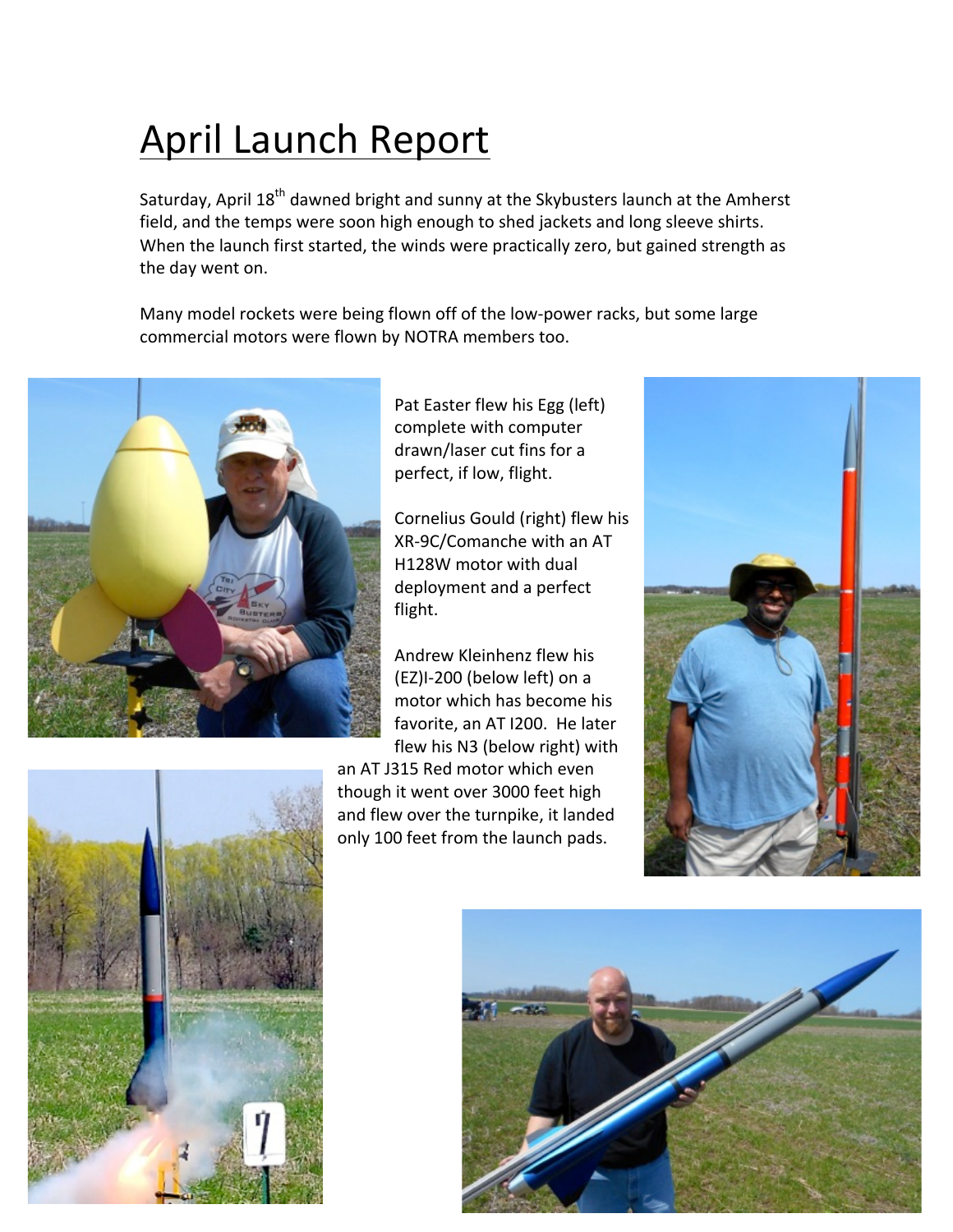## April Launch Report

Saturday, April 18<sup>th</sup> dawned bright and sunny at the Skybusters launch at the Amherst field, and the temps were soon high enough to shed jackets and long sleeve shirts. When the launch first started, the winds were practically zero, but gained strength as the day went on.

Many model rockets were being flown off of the low-power racks, but some large commercial motors were flown by NOTRA members too.



Pat Easter flew his Egg (left) complete with computer drawn/laser cut fins for a perfect, if low, flight.

Cornelius Gould (right) flew his XR-9C/Comanche with an AT H128W motor with dual deployment and a perfect flight.

Andrew Kleinhenz flew his (EZ)I-200 (below left) on a motor which has become his favorite, an AT I200. He later flew his N3 (below right) with

an AT J315 Red motor which even though it went over 3000 feet high and flew over the turnpike, it landed only 100 feet from the launch pads.





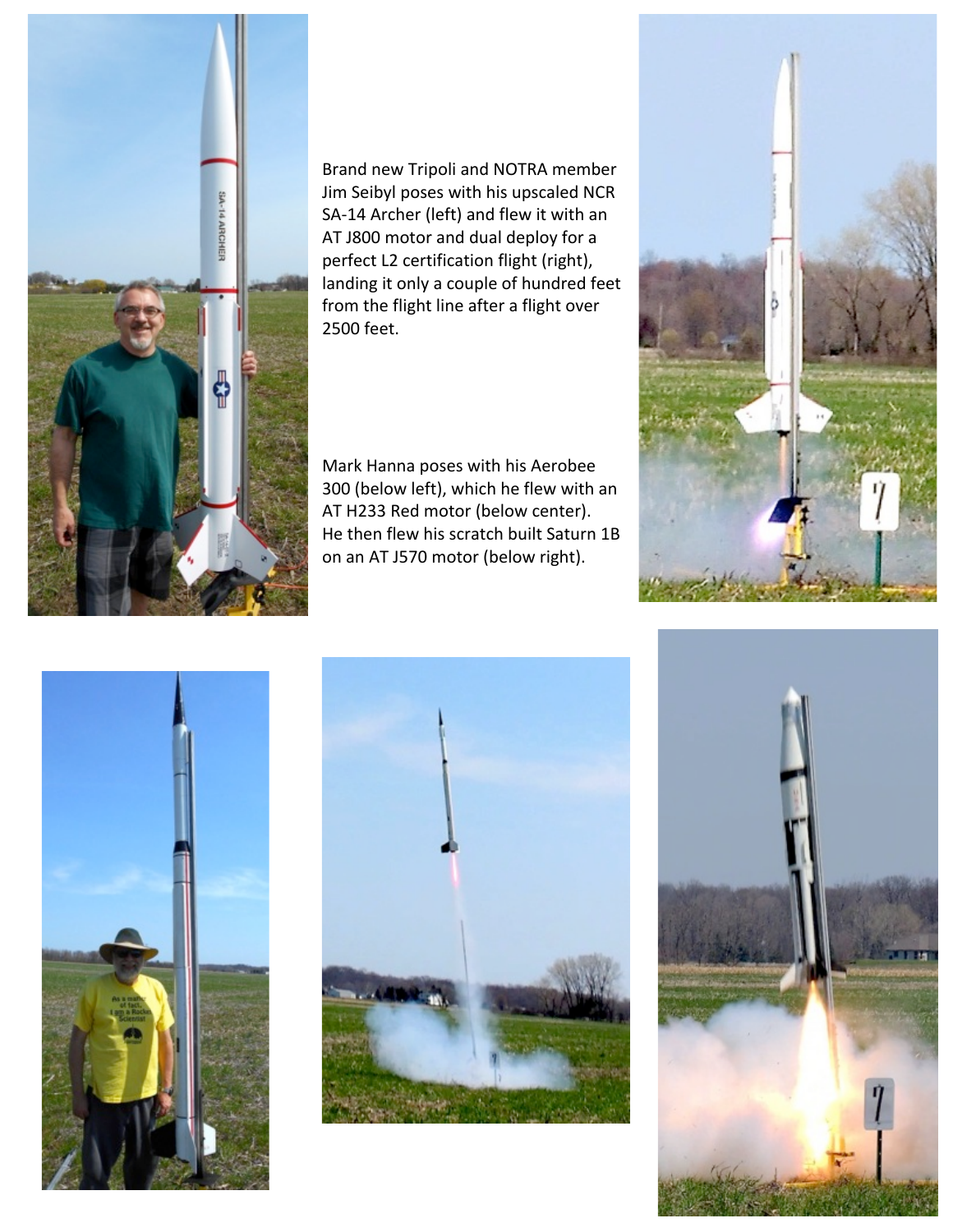

Brand new Tripoli and NOTRA member Jim Seibyl poses with his upscaled NCR SA-14 Archer (left) and flew it with an AT J800 motor and dual deploy for a perfect L2 certification flight (right), landing it only a couple of hundred feet from the flight line after a flight over 2500 feet. 

Mark Hanna poses with his Aerobee 300 (below left), which he flew with an AT H233 Red motor (below center). He then flew his scratch built Saturn 1B on an AT J570 motor (below right).